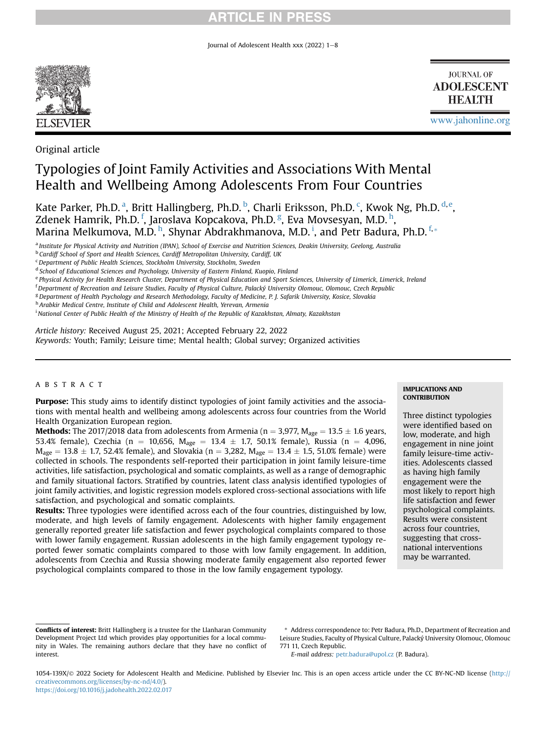Journal of Adolescent Health xxx (2022)  $1-8$ 



**JOURNAL OF ADOLESCENT HEALTH** 

[www.jahonline.org](http://www.jahonline.org)

Original article

# Typologies of Joint Family Activities and Associations With Mental Health and Wellbeing Among Adolescents From Four Countries

K[a](#page-0-0)te Parker, Ph.D.ª, Britt Halling[b](#page-0-1)[e](#page-0-4)rg, Ph.D. b, Charli Eriksson, Ph.D.  $\lq$ , Kwok Ng, Ph.D.  $^\text{d,e}$  $^\text{d,e}$  $^\text{d,e}$ , Zdenek Hamrik, Ph.D. <sup>[f](#page-0-5)</sup>, Jaroslava Kopcakova, Ph.D. <sup>[g](#page-0-6)</sup>, Eva Movsesyan, M.D. <sup>[h](#page-0-7)</sup>, Marina Melkumova, M.D. <sup>[h](#page-0-7)</sup>, Shynar Abdrakhmanova, M.D. <sup>[i](#page-0-8)</sup>, and Petr Badura, Ph.D. <sup>[f](#page-0-5),</sup>[\\*](#page-0-9)

<span id="page-0-0"></span><sup>a</sup> Institute for Physical Activity and Nutrition (IPAN), School of Exercise and Nutrition Sciences, Deakin University, Geelong, Australia

<span id="page-0-1"></span>**b Cardiff School of Sport and Health Sciences, Cardiff Metropolitan University, Cardiff, UK** 

<span id="page-0-7"></span>h Arabkir Medical Centre, Institute of Child and Adolescent Health, Yerevan, Armenia

Article history: Received August 25, 2021; Accepted February 22, 2022 Keywords: Youth; Family; Leisure time; Mental health; Global survey; Organized activities

## ABSTRACT

Purpose: This study aims to identify distinct typologies of joint family activities and the associations with mental health and wellbeing among adolescents across four countries from the World Health Organization European region.

**Methods:** The 2017/2018 data from adolescents from Armenia (n = 3,977,  $M_{\text{age}} = 13.5 \pm 1.6$  years, 53.4% female), Czechia (n = 10,656, M<sub>age</sub> = 13.4  $\pm$  1.7, 50.1% female), Russia (n = 4,096,  $\rm M_{age} = 13.8 \pm 1.7,$  52.4% female), and Slovakia (n = 3,282,  $\rm M_{age} = 13.4 \pm 1.5,$  51.0% female) were collected in schools. The respondents self-reported their participation in joint family leisure-time activities, life satisfaction, psychological and somatic complaints, as well as a range of demographic and family situational factors. Stratified by countries, latent class analysis identified typologies of joint family activities, and logistic regression models explored cross-sectional associations with life satisfaction, and psychological and somatic complaints.

Results: Three typologies were identified across each of the four countries, distinguished by low, moderate, and high levels of family engagement. Adolescents with higher family engagement generally reported greater life satisfaction and fewer psychological complaints compared to those with lower family engagement. Russian adolescents in the high family engagement typology reported fewer somatic complaints compared to those with low family engagement. In addition, adolescents from Czechia and Russia showing moderate family engagement also reported fewer psychological complaints compared to those in the low family engagement typology.

#### IMPLICATIONS AND **CONTRIBUTION**

Three distinct typologies were identified based on low, moderate, and high engagement in nine joint family leisure-time activities. Adolescents classed as having high family engagement were the most likely to report high life satisfaction and fewer psychological complaints. Results were consistent across four countries, suggesting that crossnational interventions may be warranted.

E-mail address: [petr.badura@upol.cz](mailto:petr.badura@upol.cz) (P. Badura).

<span id="page-0-2"></span><sup>&</sup>lt;sup>c</sup> Department of Public Health Sciences, Stockholm University, Stockholm, Sweden

<span id="page-0-3"></span><sup>&</sup>lt;sup>d</sup> School of Educational Sciences and Psychology, University of Eastern Finland, Kuopio, Finland

<span id="page-0-4"></span>e Physical Activity for Health Research Cluster, Department of Physical Education and Sport Sciences, University of Limerick, Limerick, Ireland

<span id="page-0-5"></span>f Department of Recreation and Leisure Studies, Faculty of Physical Culture, Palacký University Olomouc, Olomouc, Czech Republic

<span id="page-0-6"></span><sup>&</sup>lt;sup>g</sup> Department of Health Psychology and Research Methodology, Faculty of Medicine, P. J. Safarik University, Kosice, Slovakia

<span id="page-0-8"></span><sup>&</sup>lt;sup>i</sup> National Center of Public Health of the Ministry of Health of the Republic of Kazakhstan, Almaty, Kazakhstan

Conflicts of interest: Britt Hallingberg is a trustee for the Llanharan Community Development Project Ltd which provides play opportunities for a local community in Wales. The remaining authors declare that they have no conflict of interest.

<span id="page-0-9"></span><sup>\*</sup> Address correspondence to: Petr Badura, Ph.D., Department of Recreation and Leisure Studies, Faculty of Physical Culture, Palacký University Olomouc, Olomouc 771 11, Czech Republic.

<sup>1054-139</sup>X/© 2022 Society for Adolescent Health and Medicine. Published by Elsevier Inc. This is an open access article under the CC BY-NC-ND license [\(http://](http://creativecommons.org/licenses/by-nc-nd/4.0/) [creativecommons.org/licenses/by-nc-nd/4.0/](http://creativecommons.org/licenses/by-nc-nd/4.0/)). <https://doi.org/10.1016/j.jadohealth.2022.02.017>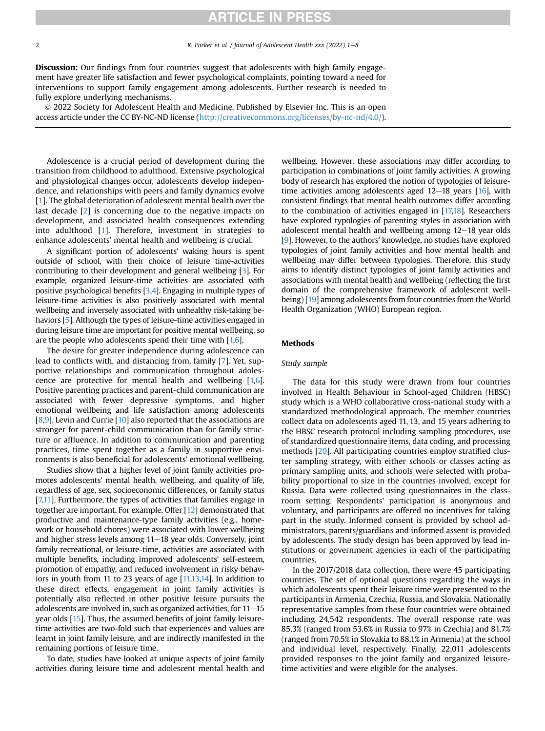2 K. Parker et al. / Journal of Adolescent Health xxx (2022) 1–8

**Discussion:** Our findings from four countries suggest that adolescents with high family engagement have greater life satisfaction and fewer psychological complaints, pointing toward a need for interventions to support family engagement among adolescents. Further research is needed to fully explore underlying mechanisms.

 2022 Society for Adolescent Health and Medicine. Published by Elsevier Inc. This is an open access article under the CC BY-NC-ND license (<http://creativecommons.org/licenses/by-nc-nd/4.0/>).

Adolescence is a crucial period of development during the transition from childhood to adulthood. Extensive psychological and physiological changes occur, adolescents develop independence, and relationships with peers and family dynamics evolve [[1](#page-7-0)]. The global deterioration of adolescent mental health over the last decade [\[2\]](#page-7-1) is concerning due to the negative impacts on development, and associated health consequences extending into adulthood [[1\]](#page-7-0). Therefore, investment in strategies to enhance adolescents' mental health and wellbeing is crucial.

A significant portion of adolescents' waking hours is spent outside of school, with their choice of leisure time-activities contributing to their development and general wellbeing [[3](#page-7-2)]. For example, organized leisure-time activities are associated with positive psychological benefits [\[3](#page-7-2)[,4](#page-7-3)]. Engaging in multiple types of leisure-time activities is also positively associated with mental wellbeing and inversely associated with unhealthy risk-taking behaviors [\[5\]](#page-7-4). Although the types of leisure-time activities engaged in during leisure time are important for positive mental wellbeing, so are the people who adolescents spend their time with  $[1,6]$  $[1,6]$  $[1,6]$ .

The desire for greater independence during adolescence can lead to conflicts with, and distancing from, family [\[7\]](#page-7-6). Yet, supportive relationships and communication throughout adolescence are protective for mental health and wellbeing [\[1,](#page-7-0)[6\]](#page-7-5). Positive parenting practices and parent-child communication are associated with fewer depressive symptoms, and higher emotional wellbeing and life satisfaction among adolescents [[8](#page-7-7)[,9\]](#page-7-8). Levin and Currie [[10\]](#page-7-9) also reported that the associations are stronger for parent-child communication than for family structure or affluence. In addition to communication and parenting practices, time spent together as a family in supportive environments is also beneficial for adolescents' emotional wellbeing.

Studies show that a higher level of joint family activities promotes adolescents' mental health, wellbeing, and quality of life, regardless of age, sex, socioeconomic differences, or family status [\[7,](#page-7-6)[11](#page-7-10)]. Furthermore, the types of activities that families engage in together are important. For example, Offer [\[12](#page-7-11)] demonstrated that productive and maintenance-type family activities (e.g., homework or household chores) were associated with lower wellbeing and higher stress levels among  $11-18$  year olds. Conversely, joint family recreational, or leisure-time, activities are associated with multiple benefits, including improved adolescents' self-esteem, promotion of empathy, and reduced involvement in risky behaviors in youth from 11 to 23 years of age [\[11,](#page-7-10)[13,](#page-7-12)[14\]](#page-7-13). In addition to these direct effects, engagement in joint family activities is potentially also reflected in other positive leisure pursuits the adolescents are involved in, such as organized activities, for  $11-15$ year olds [[15](#page-7-14)]. Thus, the assumed benefits of joint family leisuretime activities are two-fold such that experiences and values are learnt in joint family leisure, and are indirectly manifested in the remaining portions of leisure time.

To date, studies have looked at unique aspects of joint family activities during leisure time and adolescent mental health and wellbeing. However, these associations may differ according to participation in combinations of joint family activities. A growing body of research has explored the notion of typologies of leisuretime activities among adolescents aged  $12-18$  years [\[16](#page-7-15)], with consistent findings that mental health outcomes differ according to the combination of activities engaged in [[17,](#page-7-16)[18\]](#page-7-17). Researchers have explored typologies of parenting styles in association with adolescent mental health and wellbeing among  $12-18$  year olds [[9](#page-7-8)]. However, to the authors' knowledge, no studies have explored typologies of joint family activities and how mental health and wellbeing may differ between typologies. Therefore, this study aims to identify distinct typologies of joint family activities and associations with mental health and wellbeing (reflecting the first domain of the comprehensive framework of adolescent wellbeing) [[19](#page-7-18)] among adolescents from four countries from the World Health Organization (WHO) European region.

## Methods

### Study sample

The data for this study were drawn from four countries involved in Health Behaviour in School-aged Children (HBSC) study which is a WHO collaborative cross-national study with a standardized methodological approach. The member countries collect data on adolescents aged 11, 13, and 15 years adhering to the HBSC research protocol including sampling procedures, use of standardized questionnaire items, data coding, and processing methods [\[20\]](#page-7-19). All participating countries employ stratified cluster sampling strategy, with either schools or classes acting as primary sampling units, and schools were selected with probability proportional to size in the countries involved, except for Russia. Data were collected using questionnaires in the classroom setting. Respondents' participation is anonymous and voluntary, and participants are offered no incentives for taking part in the study. Informed consent is provided by school administrators, parents/guardians and informed assent is provided by adolescents. The study design has been approved by lead institutions or government agencies in each of the participating countries.

In the 2017/2018 data collection, there were 45 participating countries. The set of optional questions regarding the ways in which adolescents spent their leisure time were presented to the participants in Armenia, Czechia, Russia, and Slovakia. Nationally representative samples from these four countries were obtained including 24,542 respondents. The overall response rate was 85.3% (ranged from 53.6% in Russia to 97% in Czechia) and 81.7% (ranged from 70.5% in Slovakia to 88.1% in Armenia) at the school and individual level, respectively. Finally, 22,011 adolescents provided responses to the joint family and organized leisuretime activities and were eligible for the analyses.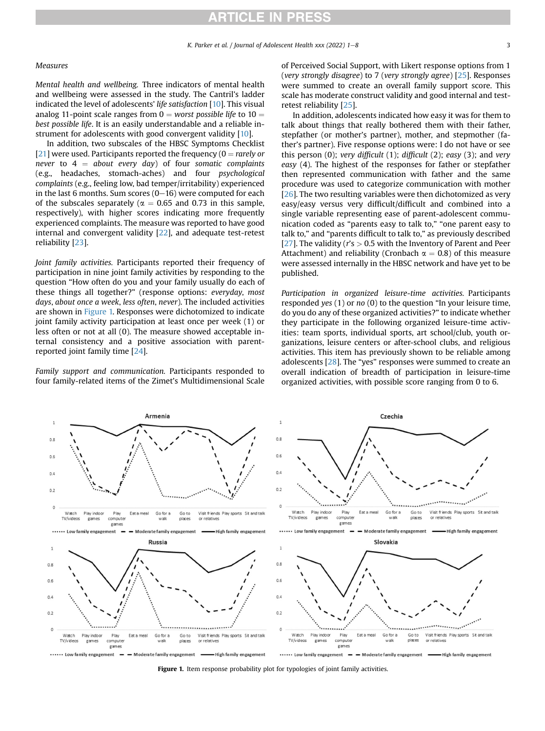### Measures

Mental health and wellbeing. Three indicators of mental health and wellbeing were assessed in the study. The Cantril's ladder indicated the level of adolescents' life satisfaction [\[10](#page-7-9)]. This visual analog 11-point scale ranges from  $0 =$  worst possible life to  $10 =$ best possible life. It is an easily understandable and a reliable instrument for adolescents with good convergent validity [[10\]](#page-7-9).

In addition, two subscales of the HBSC Symptoms Checklist [[21\]](#page-7-20) were used. Participants reported the frequency ( $0 =$  rarely or never to  $4 =$  about every day) of four somatic complaints (e.g., headaches, stomach-aches) and four psychological complaints (e.g., feeling low, bad temper/irritability) experienced in the last 6 months. Sum scores  $(0-16)$  were computed for each of the subscales separately ( $\alpha = 0.65$  and 0.73 in this sample, respectively), with higher scores indicating more frequently experienced complaints. The measure was reported to have good internal and convergent validity [\[22\]](#page-7-21), and adequate test-retest reliability [\[23\]](#page-7-22).

Joint family activities. Participants reported their frequency of participation in nine joint family activities by responding to the question "How often do you and your family usually do each of these things all together?" (response options: everyday, most days, about once a week, less often, never). The included activities are shown in [Figure 1.](#page-2-0) Responses were dichotomized to indicate joint family activity participation at least once per week (1) or less often or not at all (0). The measure showed acceptable internal consistency and a positive association with parentreported joint family time [[24](#page-7-23)].

Family support and communication. Participants responded to four family-related items of the Zimet's Multidimensional Scale of Perceived Social Support, with Likert response options from 1 (very strongly disagree) to 7 (very strongly agree)  $[25]$ . Responses were summed to create an overall family support score. This scale has moderate construct validity and good internal and testretest reliability [\[25\]](#page-7-24).

In addition, adolescents indicated how easy it was for them to talk about things that really bothered them with their father, stepfather (or mother's partner), mother, and stepmother (father's partner). Five response options were: I do not have or see this person  $(0)$ ; very difficult  $(1)$ ; difficult  $(2)$ ; easy  $(3)$ ; and very easy (4). The highest of the responses for father or stepfather then represented communication with father and the same procedure was used to categorize communication with mother [[26](#page-7-25)]. The two resulting variables were then dichotomized as very easy/easy versus very difficult/difficult and combined into a single variable representing ease of parent-adolescent communication coded as "parents easy to talk to," "one parent easy to talk to," and "parents difficult to talk to," as previously described [[27\]](#page-7-26). The validity ( $r$ 's  $> 0.5$  with the Inventory of Parent and Peer Attachment) and reliability (Cronbach  $\alpha = 0.8$ ) of this measure were assessed internally in the HBSC network and have yet to be published.

Participation in organized leisure-time activities. Participants responded yes  $(1)$  or no  $(0)$  to the question "In your leisure time, do you do any of these organized activities?" to indicate whether they participate in the following organized leisure-time activities: team sports, individual sports, art school/club, youth organizations, leisure centers or after-school clubs, and religious activities. This item has previously shown to be reliable among adolescents [[28](#page-7-27)]. The "yes" responses were summed to create an overall indication of breadth of participation in leisure-time organized activities, with possible score ranging from 0 to 6.

<span id="page-2-0"></span>

Figure 1. Item response probability plot for typologies of joint family activities.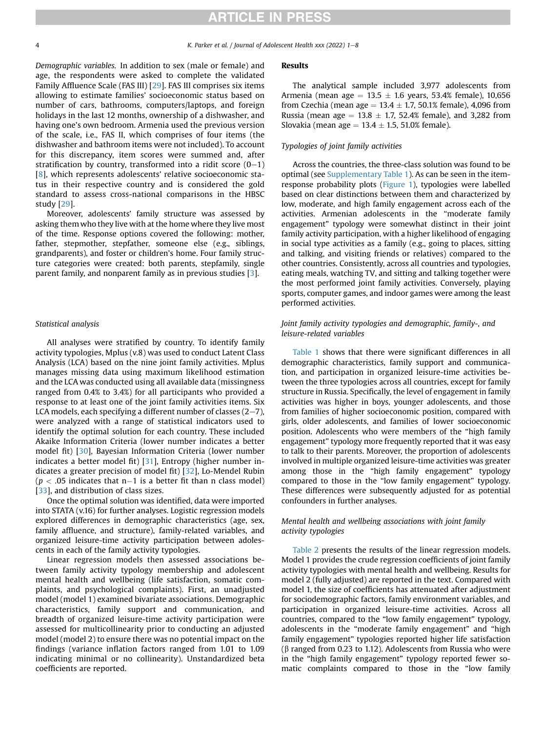Demographic variables. In addition to sex (male or female) and age, the respondents were asked to complete the validated Family Affluence Scale (FAS III) [[29\]](#page-7-28). FAS III comprises six items allowing to estimate families' socioeconomic status based on number of cars, bathrooms, computers/laptops, and foreign holidays in the last 12 months, ownership of a dishwasher, and having one's own bedroom. Armenia used the previous version of the scale, i.e., FAS II, which comprises of four items (the dishwasher and bathroom items were not included). To account for this discrepancy, item scores were summed and, after stratification by country, transformed into a ridit score  $(0-1)$ [[8\]](#page-7-7), which represents adolescents' relative socioeconomic status in their respective country and is considered the gold standard to assess cross-national comparisons in the HBSC study [[29](#page-7-28)].

Moreover, adolescents' family structure was assessed by asking them who they live with at the home where they live most of the time. Response options covered the following: mother, father, stepmother, stepfather, someone else (e.g., siblings, grandparents), and foster or children's home. Four family structure categories were created: both parents, stepfamily, single parent family, and nonparent family as in previous studies [\[3](#page-7-2)].

#### Statistical analysis

All analyses were stratified by country. To identify family activity typologies, Mplus (v.8) was used to conduct Latent Class Analysis (LCA) based on the nine joint family activities. Mplus manages missing data using maximum likelihood estimation and the LCA was conducted using all available data (missingness ranged from 0.4% to 3.4%) for all participants who provided a response to at least one of the joint family activities items. Six LCA models, each specifying a different number of classes  $(2-7)$ , were analyzed with a range of statistical indicators used to identify the optimal solution for each country. These included Akaike Information Criteria (lower number indicates a better model fit) [[30](#page-7-29)], Bayesian Information Criteria (lower number indicates a better model fit) [\[31\]](#page-7-30), Entropy (higher number indicates a greater precision of model fit) [\[32\]](#page-7-31), Lo-Mendel Rubin  $(p < .05$  indicates that n-1 is a better fit than n class model) [[33](#page-7-32)], and distribution of class sizes.

Once the optimal solution was identified, data were imported into STATA (v.16) for further analyses. Logistic regression models explored differences in demographic characteristics (age, sex, family affluence, and structure), family-related variables, and organized leisure-time activity participation between adolescents in each of the family activity typologies.

Linear regression models then assessed associations between family activity typology membership and adolescent mental health and wellbeing (life satisfaction, somatic complaints, and psychological complaints). First, an unadjusted model (model 1) examined bivariate associations. Demographic characteristics, family support and communication, and breadth of organized leisure-time activity participation were assessed for multicollinearity prior to conducting an adjusted model (model 2) to ensure there was no potential impact on the findings (variance inflation factors ranged from 1.01 to 1.09 indicating minimal or no collinearity). Unstandardized beta coefficients are reported.

### Results

The analytical sample included 3,977 adolescents from Armenia (mean age  $= 13.5 \pm 1.6$  years, 53.4% female), 10,656 from Czechia (mean age  $= 13.4 \pm 1.7$ , 50.1% female), 4,096 from Russia (mean age  $= 13.8 \pm 1.7$ , 52.4% female), and 3,282 from Slovakia (mean age  $= 13.4 \pm 1.5$ , 51.0% female).

### Typologies of joint family activities

Across the countries, the three-class solution was found to be optimal (see Supplementary Table 1). As can be seen in the item-response probability plots ([Figure 1\)](#page-2-0), typologies were labelled based on clear distinctions between them and characterized by low, moderate, and high family engagement across each of the activities. Armenian adolescents in the "moderate family engagement" typology were somewhat distinct in their joint family activity participation, with a higher likelihood of engaging in social type activities as a family (e.g., going to places, sitting and talking, and visiting friends or relatives) compared to the other countries. Consistently, across all countries and typologies, eating meals, watching TV, and sitting and talking together were the most performed joint family activities. Conversely, playing sports, computer games, and indoor games were among the least performed activities.

## Joint family activity typologies and demographic, family-, and leisure-related variables

[Table 1](#page-4-0) shows that there were significant differences in all demographic characteristics, family support and communication, and participation in organized leisure-time activities between the three typologies across all countries, except for family structure in Russia. Specifically, the level of engagement in family activities was higher in boys, younger adolescents, and those from families of higher socioeconomic position, compared with girls, older adolescents, and families of lower socioeconomic position. Adolescents who were members of the "high family engagement" typology more frequently reported that it was easy to talk to their parents. Moreover, the proportion of adolescents involved in multiple organized leisure-time activities was greater among those in the "high family engagement" typology compared to those in the "low family engagement" typology. These differences were subsequently adjusted for as potential confounders in further analyses.

## Mental health and wellbeing associations with joint family activity typologies

[Table 2](#page-5-0) presents the results of the linear regression models. Model 1 provides the crude regression coefficients of joint family activity typologies with mental health and wellbeing. Results for model 2 (fully adjusted) are reported in the text. Compared with model 1, the size of coefficients has attenuated after adjustment for sociodemographic factors, family environment variables, and participation in organized leisure-time activities. Across all countries, compared to the "low family engagement" typology, adolescents in the "moderate family engagement" and "high family engagement" typologies reported higher life satisfaction  $(\beta$  ranged from 0.23 to 1.12). Adolescents from Russia who were in the "high family engagement" typology reported fewer somatic complaints compared to those in the "low family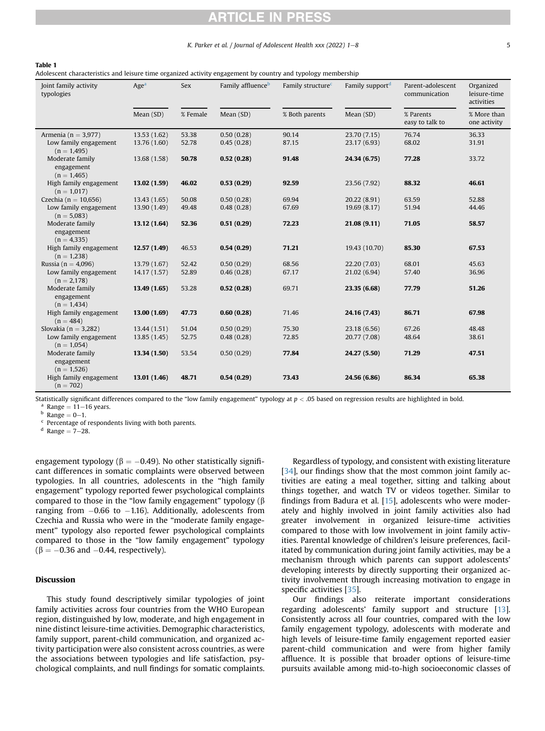## K. Parker et al. / Journal of Adolescent Health xxx (2022)  $1-8$  5

#### <span id="page-4-0"></span>Table 1

Adolescent characteristics and leisure time organized activity engagement by country and typology membership

| Joint family activity<br>typologies            | Age <sup>a</sup> | Sex      | Family affluence <sup>b</sup> | Family structure <sup>c</sup> | Family support <sup>d</sup> | Parent-adolescent<br>communication | Organized<br>leisure-time<br>activities |
|------------------------------------------------|------------------|----------|-------------------------------|-------------------------------|-----------------------------|------------------------------------|-----------------------------------------|
|                                                | Mean (SD)        | % Female | Mean (SD)                     | % Both parents                | Mean (SD)                   | % Parents<br>easy to talk to       | % More than<br>one activity             |
| Armenia ( $n = 3.977$ )                        | 13.53 (1.62)     | 53.38    | 0.50(0.28)                    | 90.14                         | 23.70 (7.15)                | 76.74                              | 36.33                                   |
| Low family engagement<br>$(n = 1,495)$         | 13.76 (1.60)     | 52.78    | 0.45(0.28)                    | 87.15                         | 23.17 (6.93)                | 68.02                              | 31.91                                   |
| Moderate family<br>engagement<br>$(n = 1,465)$ | 13.68 (1.58)     | 50.78    | 0.52(0.28)                    | 91.48                         | 24.34 (6.75)                | 77.28                              | 33.72                                   |
| High family engagement<br>$(n = 1,017)$        | 13.02(1.59)      | 46.02    | 0.53(0.29)                    | 92.59                         | 23.56 (7.92)                | 88.32                              | 46.61                                   |
| Czechia ( $n = 10,656$ )                       | 13.43 (1.65)     | 50.08    | 0.50(0.28)                    | 69.94                         | 20.22 (8.91)                | 63.59                              | 52.88                                   |
| Low family engagement<br>$(n = 5,083)$         | 13.90 (1.49)     | 49.48    | 0.48(0.28)                    | 67.69                         | 19.69 (8.17)                | 51.94                              | 44.46                                   |
| Moderate family<br>engagement<br>$(n = 4,335)$ | 13.12 (1.64)     | 52.36    | 0.51(0.29)                    | 72.23                         | 21.08 (9.11)                | 71.05                              | 58.57                                   |
| High family engagement<br>$(n = 1,238)$        | 12.57(1.49)      | 46.53    | 0.54(0.29)                    | 71.21                         | 19.43 (10.70)               | 85.30                              | 67.53                                   |
| Russia ( $n = 4,096$ )                         | 13.79 (1.67)     | 52.42    | 0.50(0.29)                    | 68.56                         | 22.20 (7.03)                | 68.01                              | 45.63                                   |
| Low family engagement<br>$(n = 2,178)$         | 14.17 (1.57)     | 52.89    | 0.46(0.28)                    | 67.17                         | 21.02 (6.94)                | 57.40                              | 36.96                                   |
| Moderate family<br>engagement<br>$(n = 1,434)$ | 13.49 (1.65)     | 53.28    | 0.52(0.28)                    | 69.71                         | 23.35 (6.68)                | 77.79                              | 51.26                                   |
| High family engagement<br>$(n = 484)$          | 13.00(1.69)      | 47.73    | 0.60(0.28)                    | 71.46                         | 24.16 (7.43)                | 86.71                              | 67.98                                   |
| Slovakia ( $n = 3,282$ )                       | 13.44 (1.51)     | 51.04    | 0.50(0.29)                    | 75.30                         | 23.18 (6.56)                | 67.26                              | 48.48                                   |
| Low family engagement<br>$(n = 1,054)$         | 13.85 (1.45)     | 52.75    | 0.48(0.28)                    | 72.85                         | 20.77 (7.08)                | 48.64                              | 38.61                                   |
| Moderate family<br>engagement<br>$(n = 1,526)$ | 13.34 (1.50)     | 53.54    | 0.50(0.29)                    | 77.84                         | 24.27 (5.50)                | 71.29                              | 47.51                                   |
| High family engagement<br>$(n = 702)$          | 13.01 (1.46)     | 48.71    | 0.54(0.29)                    | 73.43                         | 24.56 (6.86)                | 86.34                              | 65.38                                   |

Statistically significant differences compared to the "low family engagement" typology at  $p < .05$  based on regression results are highlighted in bold.

<sup>a</sup> Range = 11–16 years.<br><sup>b</sup> Range = 0–1.<br><sup>c</sup> Percentage of respondents living with both parents.

 $d$  Range =  $7 - 28$ .

engagement typology ( $\beta = -0.49$ ). No other statistically significant differences in somatic complaints were observed between typologies. In all countries, adolescents in the "high family engagement" typology reported fewer psychological complaints compared to those in the "low family engagement" typology  $(\beta)$ ranging from  $-0.66$  to  $-1.16$ ). Additionally, adolescents from Czechia and Russia who were in the "moderate family engagement" typology also reported fewer psychological complaints compared to those in the "low family engagement" typology  $(\beta = -0.36$  and  $-0.44$ , respectively).

#### Discussion

This study found descriptively similar typologies of joint family activities across four countries from the WHO European region, distinguished by low, moderate, and high engagement in nine distinct leisure-time activities. Demographic characteristics, family support, parent-child communication, and organized activity participation were also consistent across countries, as were the associations between typologies and life satisfaction, psychological complaints, and null findings for somatic complaints.

Regardless of typology, and consistent with existing literature [[34](#page-7-33)], our findings show that the most common joint family activities are eating a meal together, sitting and talking about things together, and watch TV or videos together. Similar to findings from Badura et al. [[15\]](#page-7-14), adolescents who were moderately and highly involved in joint family activities also had greater involvement in organized leisure-time activities compared to those with low involvement in joint family activities. Parental knowledge of children's leisure preferences, facilitated by communication during joint family activities, may be a mechanism through which parents can support adolescents' developing interests by directly supporting their organized activity involvement through increasing motivation to engage in specific activities [\[35\]](#page-7-34).

Our findings also reiterate important considerations regarding adolescents' family support and structure [[13\]](#page-7-12). Consistently across all four countries, compared with the low family engagement typology, adolescents with moderate and high levels of leisure-time family engagement reported easier parent-child communication and were from higher family affluence. It is possible that broader options of leisure-time pursuits available among mid-to-high socioeconomic classes of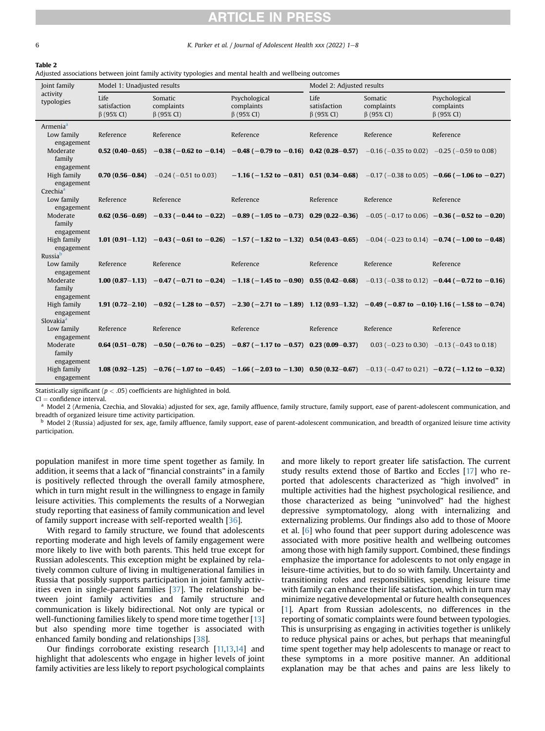6 K. Parker et al. / Journal of Adolescent Health xxx (2022) 1–8

<span id="page-5-0"></span>Table 2 Adjusted associations between joint family activity typologies and mental health and wellbeing outcomes

| Joint family                                       | Model 1: Unadjusted results              |                                                                                                                                                                                    |                                                                                        | Model 2: Adjusted results                |                                           |                                                 |  |
|----------------------------------------------------|------------------------------------------|------------------------------------------------------------------------------------------------------------------------------------------------------------------------------------|----------------------------------------------------------------------------------------|------------------------------------------|-------------------------------------------|-------------------------------------------------|--|
| activity<br>typologies                             | Life<br>satisfaction<br>$\beta$ (95% CI) | Somatic<br>complaints<br>$\beta$ (95% CI)                                                                                                                                          | Psychological<br>complaints<br>$\beta$ (95% CI)                                        | Life<br>satisfaction<br>$\beta$ (95% CI) | Somatic<br>complaints<br>$\beta$ (95% CI) | Psychological<br>complaints<br>$\beta$ (95% CI) |  |
| Armenia <sup>a</sup><br>Low family<br>engagement   | Reference                                | Reference                                                                                                                                                                          | Reference                                                                              | Reference                                | Reference                                 | Reference                                       |  |
| Moderate<br>family<br>engagement                   |                                          | <b>0.52</b> $(0.40-0.65)$ -0.38 $(-0.62 \text{ to } -0.14)$ -0.48 $(-0.79 \text{ to } -0.16)$ 0.42 $(0.28-0.57)$ -0.16 $(-0.35 \text{ to } 0.02)$ -0.25 $(-0.59 \text{ to } 0.08)$ |                                                                                        |                                          |                                           |                                                 |  |
| High family<br>engagement<br>Czechia <sup>a</sup>  |                                          | <b>0.70 (0.56-0.84)</b> $-0.24$ ( $-0.51$ to 0.03)                                                                                                                                 | $-1.16$ (-1.52 to -0.81) 0.51 (0.34-0.68) -0.17 (-0.38 to 0.05) -0.66 (-1.06 to -0.27) |                                          |                                           |                                                 |  |
| Low family<br>engagement                           | Reference                                | Reference                                                                                                                                                                          | Reference                                                                              | Reference                                | Reference                                 | Reference                                       |  |
| Moderate<br>family<br>engagement                   |                                          | 0.62 (0.56-0.69) -0.33 (-0.44 to -0.22) -0.89 (-1.05 to -0.73) 0.29 (0.22-0.36) -0.05 (-0.17 to 0.06) -0.36 (-0.52 to -0.20)                                                       |                                                                                        |                                          |                                           |                                                 |  |
| High family<br>engagement<br>Russia <sup>b</sup>   |                                          | 1.01 (0.91 - 1.12) -0.43 (-0.61 to -0.26) -1.57 (-1.82 to -1.32) 0.54 (0.43 -0.65) -0.04 (-0.23 to 0.14) -0.74 (-1.00 to -0.48)                                                    |                                                                                        |                                          |                                           |                                                 |  |
| Low family<br>engagement                           | Reference                                | Reference                                                                                                                                                                          | Reference                                                                              | Reference                                | Reference                                 | Reference                                       |  |
| Moderate<br>family<br>engagement                   |                                          | 1.00 (0.87-1.13) -0.47 (-0.71 to -0.24) -1.18 (-1.45 to -0.90) 0.55 (0.42-0.68) -0.13 (-0.38 to 0.12) -0.44 (-0.72 to -0.16)                                                       |                                                                                        |                                          |                                           |                                                 |  |
| High family<br>engagement<br>Slovakia <sup>a</sup> |                                          | 1.91 (0.72-2.10) -0.92 (-1.28 to -0.57) -2.30 (-2.71 to -1.89) 1.12 (0.93-1.32) -0.49 (-0.87 to -0.10) 1.16 (-1.58 to -0.74)                                                       |                                                                                        |                                          |                                           |                                                 |  |
| Low family<br>engagement                           | Reference                                | Reference                                                                                                                                                                          | Reference                                                                              | Reference                                | Reference                                 | Reference                                       |  |
| Moderate<br>family<br>engagement                   |                                          | <b>0.64</b> (0.51-0.78) -0.50 (-0.76 to -0.25) -0.87 (-1.17 to -0.57) 0.23 (0.09-0.37) 0.03 (-0.23 to 0.30) -0.13 (-0.43 to 0.18)                                                  |                                                                                        |                                          |                                           |                                                 |  |
| High family<br>engagement                          |                                          | 1.08 $(0.92-1.25)$ -0.76 $(-1.07$ to $-0.45)$ -1.66 $(-2.03$ to $-1.30)$ 0.50 $(0.32-0.67)$ -0.13 $(-0.47$ to 0.21) $-0.72$ $(-1.12$ to $-0.32)$                                   |                                                                                        |                                          |                                           |                                                 |  |

Statistically significant ( $p < .05$ ) coefficients are highlighted in bold.<br>CI = confidence interval.

<sup>a</sup> Model 2 (Armenia, Czechia, and Slovakia) adjusted for sex, age, family affluence, family structure, family support, ease of parent-adolescent communication, and breadth of organized leisure time activity participation.

**b** Model 2 (Russia) adjusted for sex, age, family affluence, family support, ease of parent-adolescent communication, and breadth of organized leisure time activity participation.

population manifest in more time spent together as family. In addition, it seems that a lack of "financial constraints" in a family is positively reflected through the overall family atmosphere, which in turn might result in the willingness to engage in family leisure activities. This complements the results of a Norwegian study reporting that easiness of family communication and level of family support increase with self-reported wealth [[36](#page-7-35)].

With regard to family structure, we found that adolescents reporting moderate and high levels of family engagement were more likely to live with both parents. This held true except for Russian adolescents. This exception might be explained by relatively common culture of living in multigenerational families in Russia that possibly supports participation in joint family activities even in single-parent families [\[37](#page-7-36)]. The relationship between joint family activities and family structure and communication is likely bidirectional. Not only are typical or well-functioning families likely to spend more time together [[13\]](#page-7-12) but also spending more time together is associated with enhanced family bonding and relationships [[38](#page-7-37)].

Our findings corroborate existing research [[11,](#page-7-10)[13](#page-7-12)[,14](#page-7-13)] and highlight that adolescents who engage in higher levels of joint family activities are less likely to report psychological complaints and more likely to report greater life satisfaction. The current study results extend those of Bartko and Eccles [[17\]](#page-7-16) who reported that adolescents characterized as "high involved" in multiple activities had the highest psychological resilience, and those characterized as being "uninvolved" had the highest depressive symptomatology, along with internalizing and externalizing problems. Our findings also add to those of Moore et al. [\[6](#page-7-5)] who found that peer support during adolescence was associated with more positive health and wellbeing outcomes among those with high family support. Combined, these findings emphasize the importance for adolescents to not only engage in leisure-time activities, but to do so with family. Uncertainty and transitioning roles and responsibilities, spending leisure time with family can enhance their life satisfaction, which in turn may minimize negative developmental or future health consequences [[1](#page-7-0)]. Apart from Russian adolescents, no differences in the reporting of somatic complaints were found between typologies. This is unsurprising as engaging in activities together is unlikely to reduce physical pains or aches, but perhaps that meaningful time spent together may help adolescents to manage or react to these symptoms in a more positive manner. An additional explanation may be that aches and pains are less likely to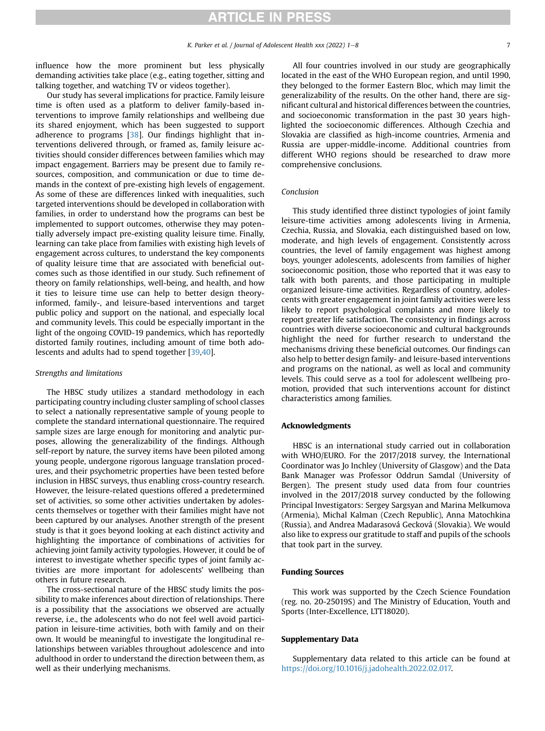influence how the more prominent but less physically demanding activities take place (e.g., eating together, sitting and talking together, and watching TV or videos together).

Our study has several implications for practice. Family leisure time is often used as a platform to deliver family-based interventions to improve family relationships and wellbeing due its shared enjoyment, which has been suggested to support adherence to programs [\[38\]](#page-7-37). Our findings highlight that interventions delivered through, or framed as, family leisure activities should consider differences between families which may impact engagement. Barriers may be present due to family resources, composition, and communication or due to time demands in the context of pre-existing high levels of engagement. As some of these are differences linked with inequalities, such targeted interventions should be developed in collaboration with families, in order to understand how the programs can best be implemented to support outcomes, otherwise they may potentially adversely impact pre-existing quality leisure time. Finally, learning can take place from families with existing high levels of engagement across cultures, to understand the key components of quality leisure time that are associated with beneficial outcomes such as those identified in our study. Such refinement of theory on family relationships, well-being, and health, and how it ties to leisure time use can help to better design theoryinformed, family-, and leisure-based interventions and target public policy and support on the national, and especially local and community levels. This could be especially important in the light of the ongoing COVID-19 pandemics, which has reportedly distorted family routines, including amount of time both adolescents and adults had to spend together [[39](#page-7-38)[,40\]](#page-7-39).

### Strengths and limitations

The HBSC study utilizes a standard methodology in each participating country including cluster sampling of school classes to select a nationally representative sample of young people to complete the standard international questionnaire. The required sample sizes are large enough for monitoring and analytic purposes, allowing the generalizability of the findings. Although self-report by nature, the survey items have been piloted among young people, undergone rigorous language translation procedures, and their psychometric properties have been tested before inclusion in HBSC surveys, thus enabling cross-country research. However, the leisure-related questions offered a predetermined set of activities, so some other activities undertaken by adolescents themselves or together with their families might have not been captured by our analyses. Another strength of the present study is that it goes beyond looking at each distinct activity and highlighting the importance of combinations of activities for achieving joint family activity typologies. However, it could be of interest to investigate whether specific types of joint family activities are more important for adolescents' wellbeing than others in future research.

The cross-sectional nature of the HBSC study limits the possibility to make inferences about direction of relationships. There is a possibility that the associations we observed are actually reverse, i.e., the adolescents who do not feel well avoid participation in leisure-time activities, both with family and on their own. It would be meaningful to investigate the longitudinal relationships between variables throughout adolescence and into adulthood in order to understand the direction between them, as well as their underlying mechanisms.

All four countries involved in our study are geographically located in the east of the WHO European region, and until 1990, they belonged to the former Eastern Bloc, which may limit the generalizability of the results. On the other hand, there are significant cultural and historical differences between the countries, and socioeconomic transformation in the past 30 years highlighted the socioeconomic differences. Although Czechia and Slovakia are classified as high-income countries, Armenia and Russia are upper-middle-income. Additional countries from different WHO regions should be researched to draw more comprehensive conclusions.

## Conclusion

This study identified three distinct typologies of joint family leisure-time activities among adolescents living in Armenia, Czechia, Russia, and Slovakia, each distinguished based on low, moderate, and high levels of engagement. Consistently across countries, the level of family engagement was highest among boys, younger adolescents, adolescents from families of higher socioeconomic position, those who reported that it was easy to talk with both parents, and those participating in multiple organized leisure-time activities. Regardless of country, adolescents with greater engagement in joint family activities were less likely to report psychological complaints and more likely to report greater life satisfaction. The consistency in findings across countries with diverse socioeconomic and cultural backgrounds highlight the need for further research to understand the mechanisms driving these beneficial outcomes. Our findings can also help to better design family- and leisure-based interventions and programs on the national, as well as local and community levels. This could serve as a tool for adolescent wellbeing promotion, provided that such interventions account for distinct characteristics among families.

### Acknowledgments

HBSC is an international study carried out in collaboration with WHO/EURO. For the 2017/2018 survey, the International Coordinator was Jo Inchley (University of Glasgow) and the Data Bank Manager was Professor Oddrun Samdal (University of Bergen). The present study used data from four countries involved in the 2017/2018 survey conducted by the following Principal Investigators: Sergey Sargsyan and Marina Melkumova (Armenia), Michal Kalman (Czech Republic), Anna Matochkina (Russia), and Andrea Madarasová Gecková (Slovakia). We would also like to express our gratitude to staff and pupils of the schools that took part in the survey.

#### Funding Sources

This work was supported by the Czech Science Foundation (reg. no. 20-25019S) and The Ministry of Education, Youth and Sports (Inter-Excellence, LTT18020).

## Supplementary Data

Supplementary data related to this article can be found at [https://doi.org/10.1016/j.jadohealth.2022.02.017.](https://doi.org/10.1016/j.jadohealth.2022.02.017)